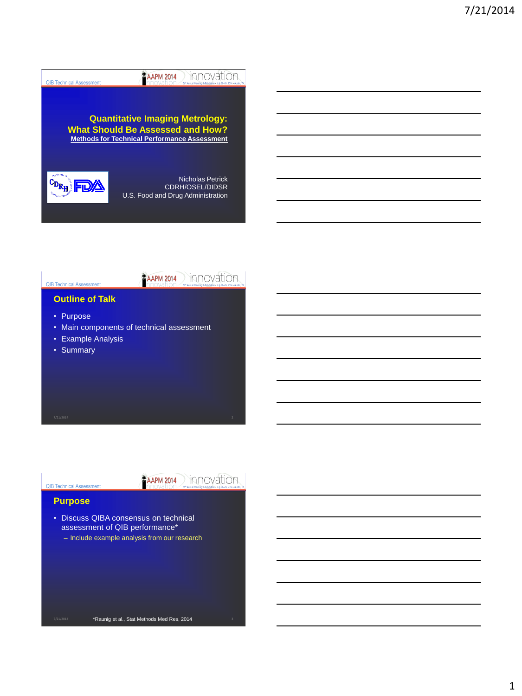

**FAAPM 2014** innovation

#### **Outline of Talk**

- Purpose
- Main components of technical assessment
- Example Analysis
- Summary

**EAAPM 2014** INNOVation

#### QIB Technical Assessment **Purpose**

• Discuss QIBA consensus on technical assessment of QIB performance\* – Include example analysis from our research

\*Raunig et al., Stat Methods Med Res, 2014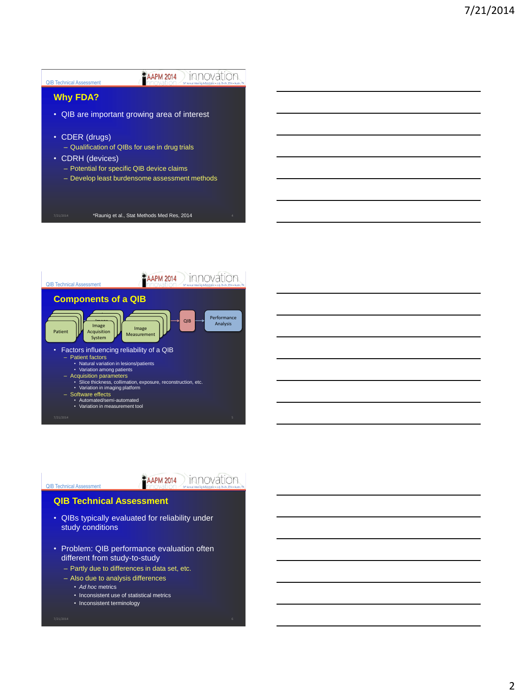



**FAAPM 2014** INNOVAtion

#### **QIB Technical Assessment**

- QIBs typically evaluated for reliability under study conditions
- Problem: QIB performance evaluation often different from study-to-study
	- Partly due to differences in data set, etc.
	- Also due to analysis differences
		- *Ad hoc* metrics

QIB Technical Assessment

- Inconsistent use of statistical metrics
- Inconsistent terminology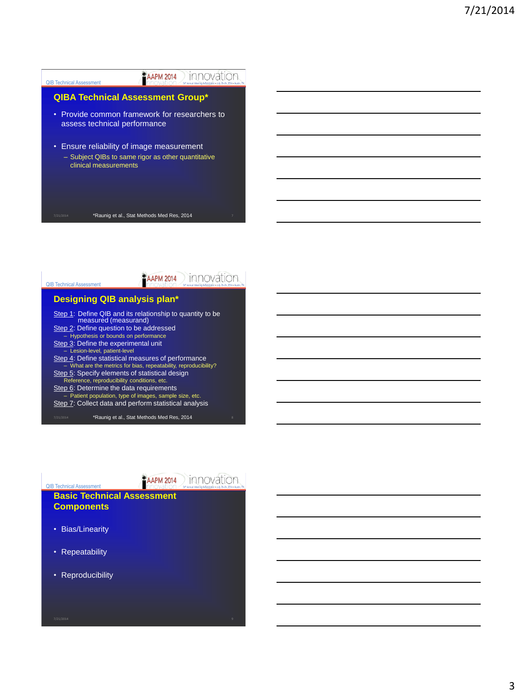



**FAAPM 2014** INNOVAtion

#### **Basic Technical Assessment Components**

• Bias/Linearity

QIB Technical Assessment

- Repeatability
- Reproducibility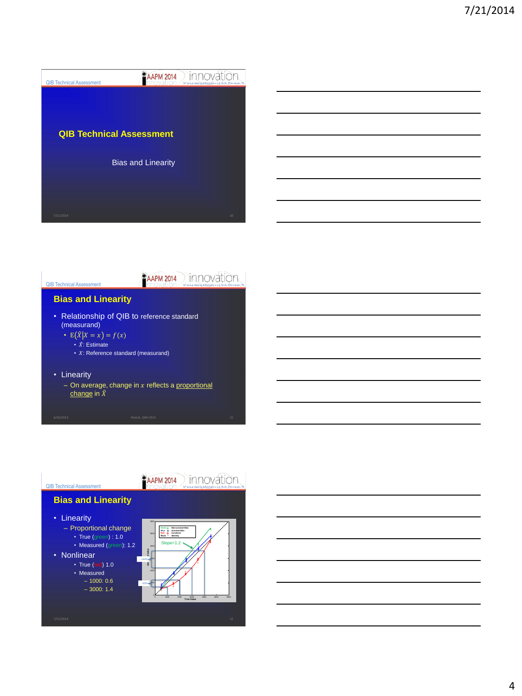



**FAAPM 2014** innovation

#### **Bias and Linearity**

- Relationship of QIB to reference standard (measurand)
	- $E(X|X = x) = f(x)$ 
		- $\cdot \hat{X}$ : Estimate
		- $\cdot$  X: Reference standard (measurand)
- Linearity
	- On average, change in  $x$  reflects a <u>proportional</u><br>change in  $\hat{X}$

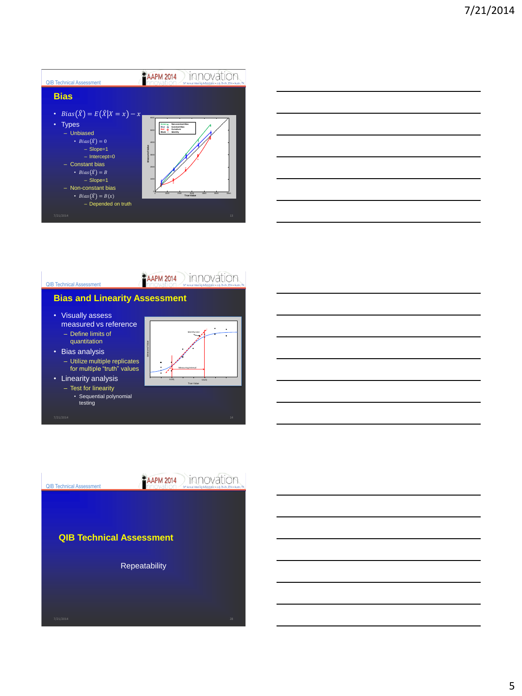







## • Visually assess

- measured vs reference – Define limits of
- quantitation
- Bias analysis – Utilize multiple replicates for multiple "truth" values



• Linearity analysis – Test for linearity • Sequential polynomial

testing

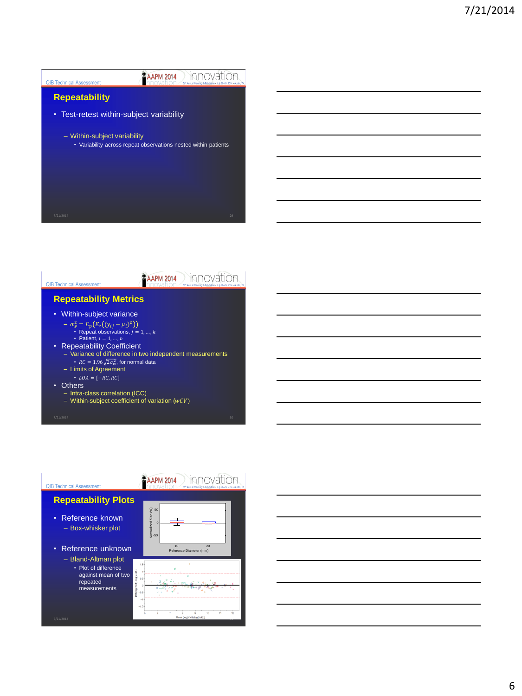

**FAAPM 2014** innovation

#### **Repeatability Metrics**

- Within-subject variance
	- $-\sigma_w^2 = E_p (E_r ((y_{ij} \mu_i)^2))$ • Repeat observations,  $j = 1, ..., k$ <br>• Patient,  $i = 1, ..., n$
- Repeatability Coefficient
	- Variance of difference in two independent measurements •  $RC = 1.96\sqrt{2\sigma_{\rm w}^2}$ , for normal data
	- Limits of Agreement
	- $\textit{LOA} = [-\textit{RC}, \textit{RC}]$
- Others
	- Intra-class correlation (ICC)
	- Within-subject coefficient of variation  $(wCV)$



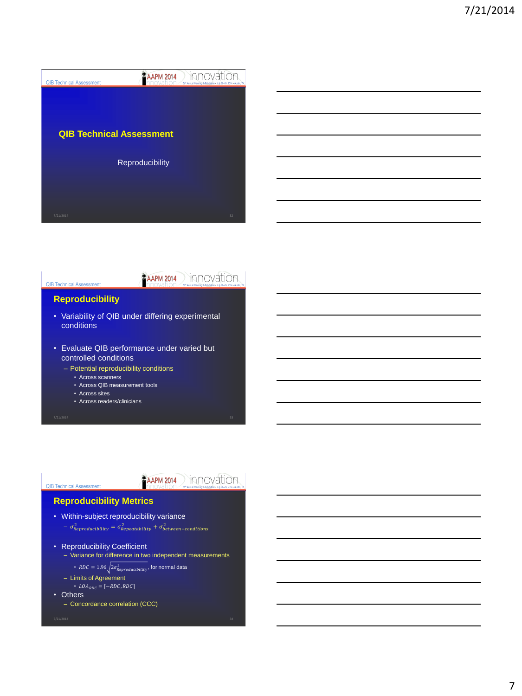



#### **Reproducibility**

- Variability of QIB under differing experimental conditions
- Evaluate QIB performance under varied but controlled conditions
	- Potential reproducibility conditions
		- Across scanners
		- Across QIB measurement tools
		- Across sites
		- Across readers/clinicians

### **PAAPM 2014** INNOVATION

#### **Reproducibility Metrics**

- Within-subject reproducibility variance  $-\sigma_{Reproduciibility}^2 = \sigma_{Repeataibility}^2 + \sigma_{between-conditions}^2$
- Reproducibility Coefficient
	- Variance for difference in two independent measurements
		- $\mathit{RDC} = 1.96 \sqrt{2\sigma_{\mathit{Reproduciability}}^2}$ , for normal data
	- Limits of Agreement
	- = [−, ]
- Others

QIB Technical Assessment

– Concordance correlation (CCC)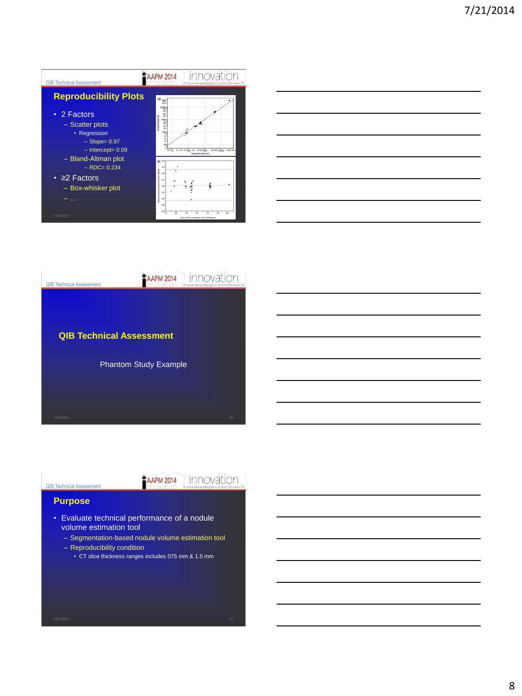| <b>QIB Technical Assessment</b>                                                                                     | <b>AAPM 2014</b><br>56 <sup>h</sup> Annual Meeting & Exhibition July 20-24, 2014 - Austin, TX                                       |  |  |
|---------------------------------------------------------------------------------------------------------------------|-------------------------------------------------------------------------------------------------------------------------------------|--|--|
| <b>Reproducibility Plots</b>                                                                                        | men                                                                                                                                 |  |  |
| • 2 Factors<br>- Scatter plots<br>• Regression<br>$-$ Slope= $0.97$<br>$-$ Intercept= $0.09$<br>- Bland-Altman plot | and 2 distance<br>1000<br>z<br>m<br>100<br>EXTRAS<br>(b)                                                                            |  |  |
| $-$ RDC= 0.234<br>$\cdot$ $\geq$ 2 Factors<br>- Box-whisker plot<br>7/21/2014                                       | 8.8<br>48<br>$\mathbf{a}$<br>18<br>$+1$<br>$\rightarrow$<br>4.3<br>$\mathbf{a}$<br>68<br>Mean (Group 81 log(Vol), Group 62 log(Vol) |  |  |





# **EAAPM 2014** MOVation

### QIB Technical Assessment **Purpose**

- Evaluate technical performance of a nodule volume estimation tool
	- Segmentation-based nodule volume estimation tool
	- Reproducibility condition
		- CT slice thickness ranges includes 075 mm & 1.5 mm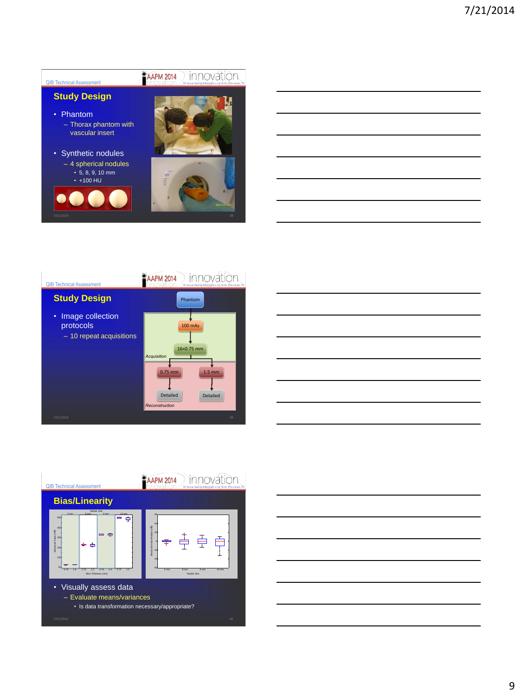

#### **AAPM 2014** innovation QIB Technical Assessment **Study Design** Phantom • Image collection J protocols 100 mAs – 10 repeat acquisitions 16×0.75 mm *Acquisition*  0.75 mm 1.5 mm Detailed Detailed *Reconstruction*





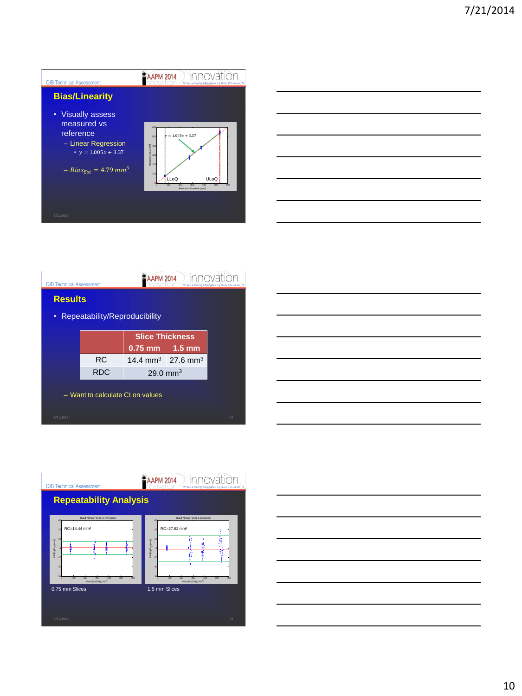

|  | - |
|--|---|
|  |   |
|  |   |
|  |   |